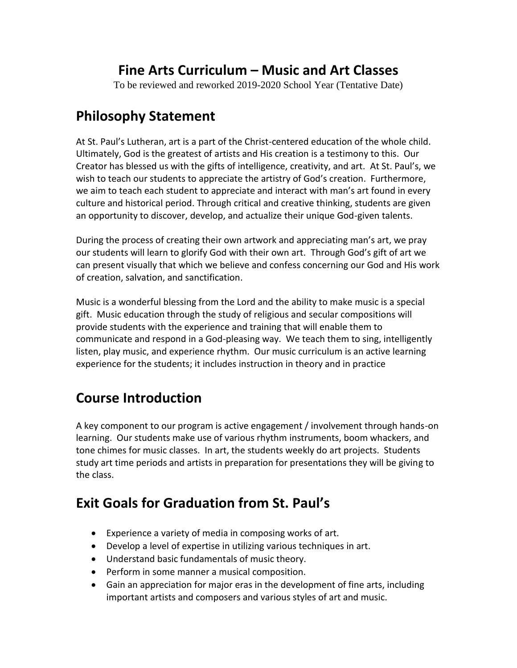## **Fine Arts Curriculum – Music and Art Classes**

To be reviewed and reworked 2019-2020 School Year (Tentative Date)

## **Philosophy Statement**

At St. Paul's Lutheran, art is a part of the Christ-centered education of the whole child. Ultimately, God is the greatest of artists and His creation is a testimony to this. Our Creator has blessed us with the gifts of intelligence, creativity, and art. At St. Paul's, we wish to teach our students to appreciate the artistry of God's creation. Furthermore, we aim to teach each student to appreciate and interact with man's art found in every culture and historical period. Through critical and creative thinking, students are given an opportunity to discover, develop, and actualize their unique God-given talents.

During the process of creating their own artwork and appreciating man's art, we pray our students will learn to glorify God with their own art. Through God's gift of art we can present visually that which we believe and confess concerning our God and His work of creation, salvation, and sanctification.

Music is a wonderful blessing from the Lord and the ability to make music is a special gift. Music education through the study of religious and secular compositions will provide students with the experience and training that will enable them to communicate and respond in a God-pleasing way. We teach them to sing, intelligently listen, play music, and experience rhythm. Our music curriculum is an active learning experience for the students; it includes instruction in theory and in practice

# **Course Introduction**

A key component to our program is active engagement / involvement through hands-on learning. Our students make use of various rhythm instruments, boom whackers, and tone chimes for music classes. In art, the students weekly do art projects. Students study art time periods and artists in preparation for presentations they will be giving to the class.

# **Exit Goals for Graduation from St. Paul's**

- Experience a variety of media in composing works of art.
- Develop a level of expertise in utilizing various techniques in art.
- Understand basic fundamentals of music theory.
- Perform in some manner a musical composition.
- Gain an appreciation for major eras in the development of fine arts, including important artists and composers and various styles of art and music.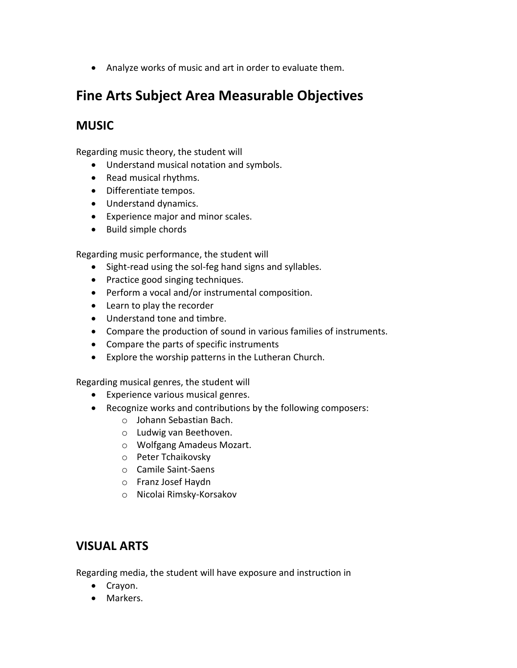Analyze works of music and art in order to evaluate them.

### **Fine Arts Subject Area Measurable Objectives**

#### **MUSIC**

Regarding music theory, the student will

- Understand musical notation and symbols.
- Read musical rhythms.
- Differentiate tempos.
- Understand dynamics.
- Experience major and minor scales.
- Build simple chords

Regarding music performance, the student will

- Sight-read using the sol-feg hand signs and syllables.
- Practice good singing techniques.
- Perform a vocal and/or instrumental composition.
- Learn to play the recorder
- Understand tone and timbre.
- Compare the production of sound in various families of instruments.
- Compare the parts of specific instruments
- Explore the worship patterns in the Lutheran Church.

Regarding musical genres, the student will

- Experience various musical genres.
- Recognize works and contributions by the following composers:
	- o Johann Sebastian Bach.
	- o Ludwig van Beethoven.
	- o Wolfgang Amadeus Mozart.
	- o Peter Tchaikovsky
	- o Camile Saint-Saens
	- o Franz Josef Haydn
	- o Nicolai Rimsky-Korsakov

### **VISUAL ARTS**

Regarding media, the student will have exposure and instruction in

- Crayon.
- Markers.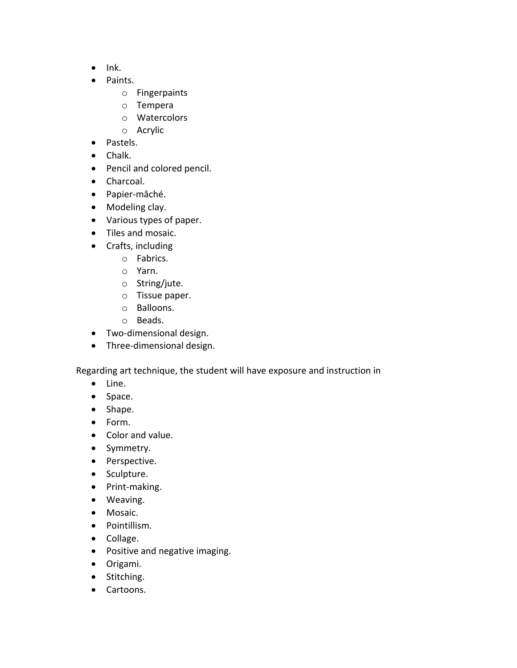- $\bullet$  Ink.
- Paints.
	- o Fingerpaints
	- o Tempera
	- o Watercolors
	- o Acrylic
- Pastels.
- Chalk.
- Pencil and colored pencil.
- Charcoal.
- Papier-mâché.
- Modeling clay.
- Various types of paper.
- Tiles and mosaic.
- Crafts, including
	- o Fabrics.
	- o Yarn.
	- o String/jute.
	- o Tissue paper.
	- o Balloons.
	- o Beads.
- Two-dimensional design.
- Three-dimensional design.

Regarding art technique, the student will have exposure and instruction in

- Line.
- Space.
- Shape.
- Form.
- Color and value.
- Symmetry.
- Perspective.
- Sculpture.
- Print-making.
- Weaving.
- Mosaic.
- Pointillism.
- Collage.
- Positive and negative imaging.
- Origami.
- Stitching.
- Cartoons.